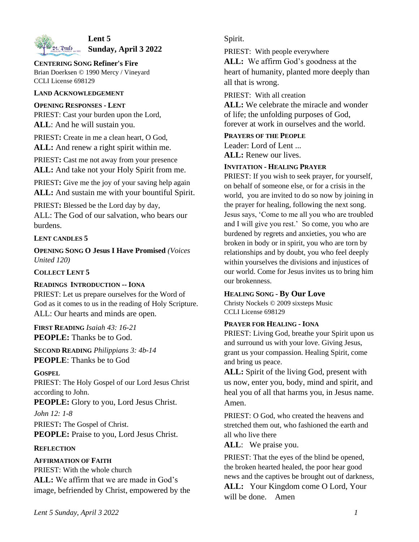

**Lent 5 Sunday, April 3 2022**

**CENTERING SONG Refiner's Fire** Brian Doerksen © 1990 Mercy / Vineyard CCLI License 698129

## **LAND ACKNOWLEDGEMENT**

### **OPENING RESPONSES - LENT**

PRIEST: Cast your burden upon the Lord, **ALL**: And he will sustain you.

PRIEST**:** Create in me a clean heart, O God, **ALL:** And renew a right spirit within me.

PRIEST**:** Cast me not away from your presence **ALL:** And take not your Holy Spirit from me.

PRIEST**:** Give me the joy of your saving help again **ALL:** And sustain me with your bountiful Spirit.

PRIEST**:** Blessed be the Lord day by day, ALL: The God of our salvation, who bears our burdens.

## **LENT CANDLES 5**

**OPENING SONG O Jesus I Have Promised** *(Voices United 120)*

# **COLLECT LENT 5**

# **READINGS INTRODUCTION -- IONA**

PRIEST: Let us prepare ourselves for the Word of God as it comes to us in the reading of Holy Scripture. ALL: Our hearts and minds are open.

**FIRST READING** *Isaiah 43: 16-21* **PEOPLE:** Thanks be to God.

**SECOND READING** *Philippians 3: 4b-14* **PEOPLE**: Thanks be to God

# **GOSPEL**

PRIEST: The Holy Gospel of our Lord Jesus Christ according to John.

**PEOPLE:** Glory to you, Lord Jesus Christ.

*John 12: 1-8*

PRIEST**:** The Gospel of Christ. **PEOPLE:** Praise to you, Lord Jesus Christ.

# **REFLECTION**

# **AFFIRMATION OF FAITH**

PRIEST: With the whole church **ALL:** We affirm that we are made in God's image, befriended by Christ, empowered by the Spirit.

PRIEST: With people everywhere

**ALL:** We affirm God's goodness at the heart of humanity, planted more deeply than all that is wrong.

PRIEST: With all creation

**ALL:** We celebrate the miracle and wonder of life; the unfolding purposes of God, forever at work in ourselves and the world.

**PRAYERS OF THE PEOPLE** 

Leader: Lord of Lent ... **ALL:** Renew our lives.

# **INVITATION - HEALING PRAYER**

PRIEST: If you wish to seek prayer, for yourself, on behalf of someone else, or for a crisis in the world, you are invited to do so now by joining in the prayer for healing, following the next song. Jesus says, 'Come to me all you who are troubled and I will give you rest.' So come, you who are burdened by regrets and anxieties, you who are broken in body or in spirit, you who are torn by relationships and by doubt, you who feel deeply within yourselves the divisions and injustices of our world. Come for Jesus invites us to bring him our brokenness.

# **HEALING SONG - By Our Love**

Christy Nockels © 2009 sixsteps Music CCLI License 698129

# **PRAYER FOR HEALING - IONA**

PRIEST: Living God, breathe your Spirit upon us and surround us with your love. Giving Jesus, grant us your compassion. Healing Spirit, come and bring us peace.

**ALL:** Spirit of the living God, present with us now, enter you, body, mind and spirit, and heal you of all that harms you, in Jesus name. Amen.

PRIEST: O God, who created the heavens and stretched them out, who fashioned the earth and all who live there

**ALL**: We praise you.

PRIEST: That the eyes of the blind be opened, the broken hearted healed, the poor hear good news and the captives be brought out of darkness,

**ALL:** Your Kingdom come O Lord, Your will be done. Amen